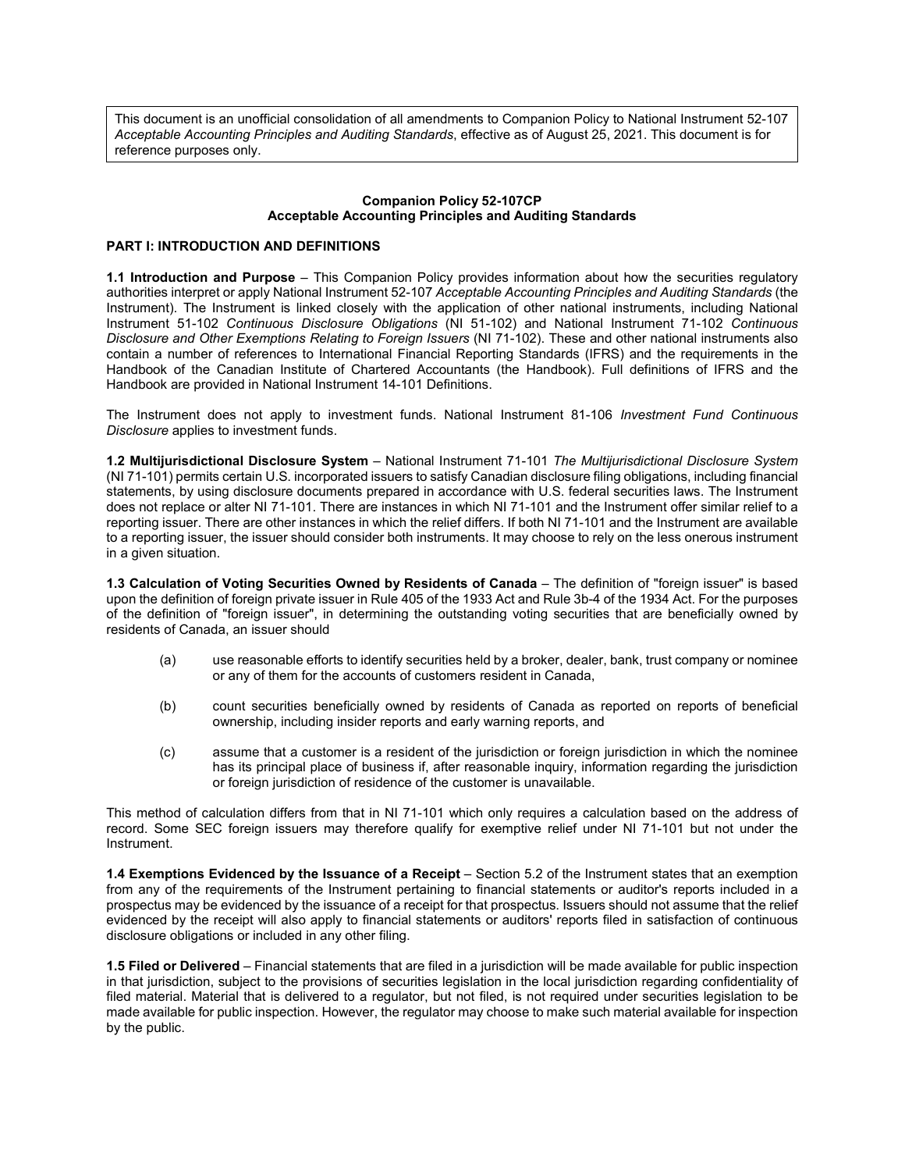This document is an unofficial consolidation of all amendments to Companion Policy to National Instrument 52-107 *Acceptable Accounting Principles and Auditing Standards*, effective as of August 25, 2021. This document is for reference purposes only.

## **Companion Policy 52-107CP Acceptable Accounting Principles and Auditing Standards**

## **PART I: INTRODUCTION AND DEFINITIONS**

**1.1 Introduction and Purpose** – This Companion Policy provides information about how the securities regulatory authorities interpret or apply National Instrument 52-107 *Acceptable Accounting Principles and Auditing Standards* (the Instrument). The Instrument is linked closely with the application of other national instruments, including National Instrument 51-102 *Continuous Disclosure Obligations* (NI 51-102) and National Instrument 71-102 *Continuous Disclosure and Other Exemptions Relating to Foreign Issuers* (NI 71-102). These and other national instruments also contain a number of references to International Financial Reporting Standards (IFRS) and the requirements in the Handbook of the Canadian Institute of Chartered Accountants (the Handbook). Full definitions of IFRS and the Handbook are provided in National Instrument 14-101 Definitions.

The Instrument does not apply to investment funds. National Instrument 81-106 *Investment Fund Continuous Disclosure* applies to investment funds.

**1.2 Multijurisdictional Disclosure System** – National Instrument 71-101 *The Multijurisdictional Disclosure System*  (NI 71-101) permits certain U.S. incorporated issuers to satisfy Canadian disclosure filing obligations, including financial statements, by using disclosure documents prepared in accordance with U.S. federal securities laws. The Instrument does not replace or alter NI 71-101. There are instances in which NI 71-101 and the Instrument offer similar relief to a reporting issuer. There are other instances in which the relief differs. If both NI 71-101 and the Instrument are available to a reporting issuer, the issuer should consider both instruments. It may choose to rely on the less onerous instrument in a given situation.

**1.3 Calculation of Voting Securities Owned by Residents of Canada** – The definition of "foreign issuer" is based upon the definition of foreign private issuer in Rule 405 of the 1933 Act and Rule 3b-4 of the 1934 Act. For the purposes of the definition of "foreign issuer", in determining the outstanding voting securities that are beneficially owned by residents of Canada, an issuer should

- (a) use reasonable efforts to identify securities held by a broker, dealer, bank, trust company or nominee or any of them for the accounts of customers resident in Canada,
- (b) count securities beneficially owned by residents of Canada as reported on reports of beneficial ownership, including insider reports and early warning reports, and
- (c) assume that a customer is a resident of the jurisdiction or foreign jurisdiction in which the nominee has its principal place of business if, after reasonable inquiry, information regarding the jurisdiction or foreign jurisdiction of residence of the customer is unavailable.

This method of calculation differs from that in NI 71-101 which only requires a calculation based on the address of record. Some SEC foreign issuers may therefore qualify for exemptive relief under NI 71-101 but not under the Instrument.

**1.4 Exemptions Evidenced by the Issuance of a Receipt** – Section 5.2 of the Instrument states that an exemption from any of the requirements of the Instrument pertaining to financial statements or auditor's reports included in a prospectus may be evidenced by the issuance of a receipt for that prospectus. Issuers should not assume that the relief evidenced by the receipt will also apply to financial statements or auditors' reports filed in satisfaction of continuous disclosure obligations or included in any other filing.

**1.5 Filed or Delivered** – Financial statements that are filed in a jurisdiction will be made available for public inspection in that jurisdiction, subject to the provisions of securities legislation in the local jurisdiction regarding confidentiality of filed material. Material that is delivered to a regulator, but not filed, is not required under securities legislation to be made available for public inspection. However, the regulator may choose to make such material available for inspection by the public.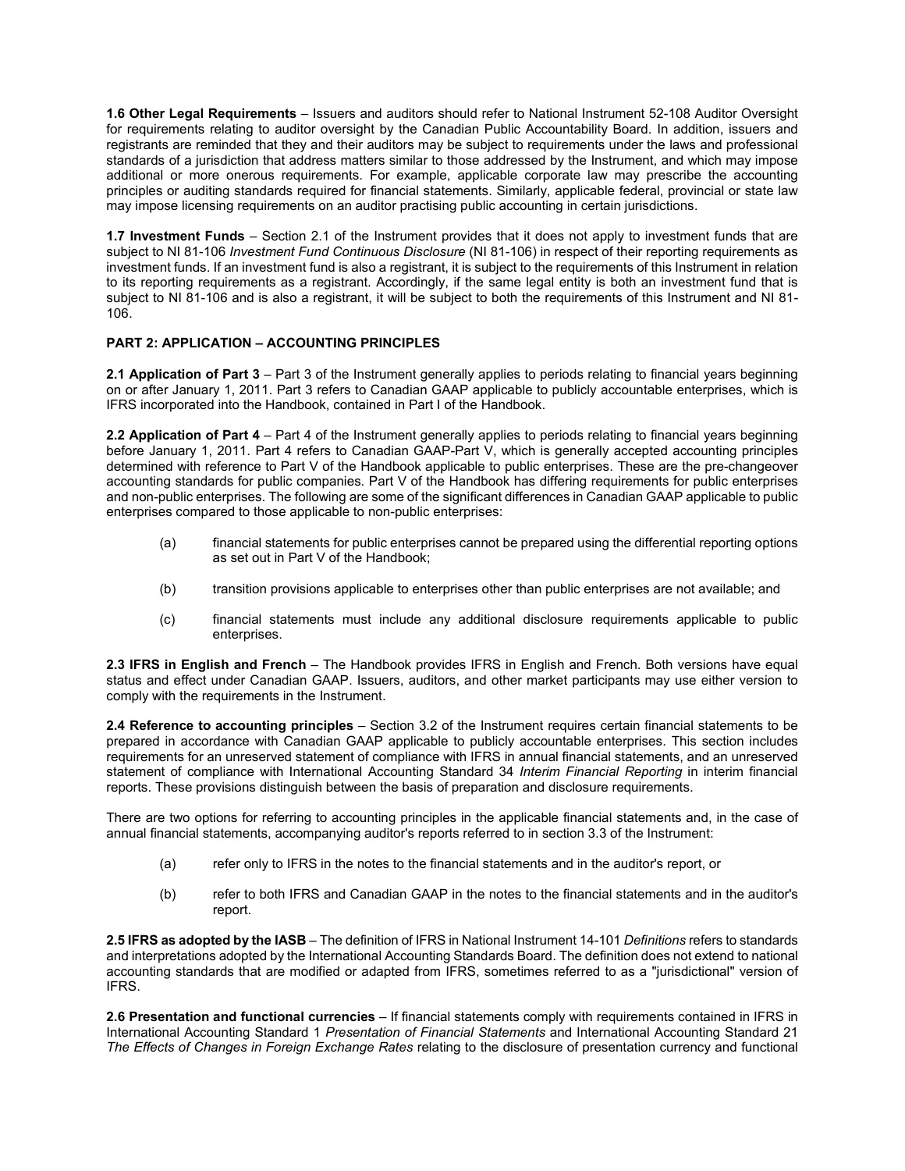**1.6 Other Legal Requirements** – Issuers and auditors should refer to National Instrument 52-108 Auditor Oversight for requirements relating to auditor oversight by the Canadian Public Accountability Board. In addition, issuers and registrants are reminded that they and their auditors may be subject to requirements under the laws and professional standards of a jurisdiction that address matters similar to those addressed by the Instrument, and which may impose additional or more onerous requirements. For example, applicable corporate law may prescribe the accounting principles or auditing standards required for financial statements. Similarly, applicable federal, provincial or state law may impose licensing requirements on an auditor practising public accounting in certain jurisdictions.

**1.7 Investment Funds** – Section 2.1 of the Instrument provides that it does not apply to investment funds that are subject to NI 81-106 *Investment Fund Continuous Disclosure* (NI 81-106) in respect of their reporting requirements as investment funds. If an investment fund is also a registrant, it is subject to the requirements of this Instrument in relation to its reporting requirements as a registrant. Accordingly, if the same legal entity is both an investment fund that is subject to NI 81-106 and is also a registrant, it will be subject to both the requirements of this Instrument and NI 81- 106.

## **PART 2: APPLICATION – ACCOUNTING PRINCIPLES**

**2.1 Application of Part 3** – Part 3 of the Instrument generally applies to periods relating to financial years beginning on or after January 1, 2011. Part 3 refers to Canadian GAAP applicable to publicly accountable enterprises, which is IFRS incorporated into the Handbook, contained in Part I of the Handbook.

**2.2 Application of Part 4** – Part 4 of the Instrument generally applies to periods relating to financial years beginning before January 1, 2011. Part 4 refers to Canadian GAAP-Part V, which is generally accepted accounting principles determined with reference to Part V of the Handbook applicable to public enterprises. These are the pre-changeover accounting standards for public companies. Part V of the Handbook has differing requirements for public enterprises and non-public enterprises. The following are some of the significant differences in Canadian GAAP applicable to public enterprises compared to those applicable to non-public enterprises:

- (a) financial statements for public enterprises cannot be prepared using the differential reporting options as set out in Part V of the Handbook;
- (b) transition provisions applicable to enterprises other than public enterprises are not available; and
- (c) financial statements must include any additional disclosure requirements applicable to public enterprises.

**2.3 IFRS in English and French** – The Handbook provides IFRS in English and French. Both versions have equal status and effect under Canadian GAAP. Issuers, auditors, and other market participants may use either version to comply with the requirements in the Instrument.

**2.4 Reference to accounting principles** – Section 3.2 of the Instrument requires certain financial statements to be prepared in accordance with Canadian GAAP applicable to publicly accountable enterprises. This section includes requirements for an unreserved statement of compliance with IFRS in annual financial statements, and an unreserved statement of compliance with International Accounting Standard 34 *Interim Financial Reporting* in interim financial reports. These provisions distinguish between the basis of preparation and disclosure requirements.

There are two options for referring to accounting principles in the applicable financial statements and, in the case of annual financial statements, accompanying auditor's reports referred to in section 3.3 of the Instrument:

- (a) refer only to IFRS in the notes to the financial statements and in the auditor's report, or
- (b) refer to both IFRS and Canadian GAAP in the notes to the financial statements and in the auditor's report.

**2.5 IFRS as adopted by the IASB** – The definition of IFRS in National Instrument 14-101 *Definitions* refers to standards and interpretations adopted by the International Accounting Standards Board. The definition does not extend to national accounting standards that are modified or adapted from IFRS, sometimes referred to as a "jurisdictional" version of IFRS.

**2.6 Presentation and functional currencies** – If financial statements comply with requirements contained in IFRS in International Accounting Standard 1 *Presentation of Financial Statements* and International Accounting Standard 21 *The Effects of Changes in Foreign Exchange Rates* relating to the disclosure of presentation currency and functional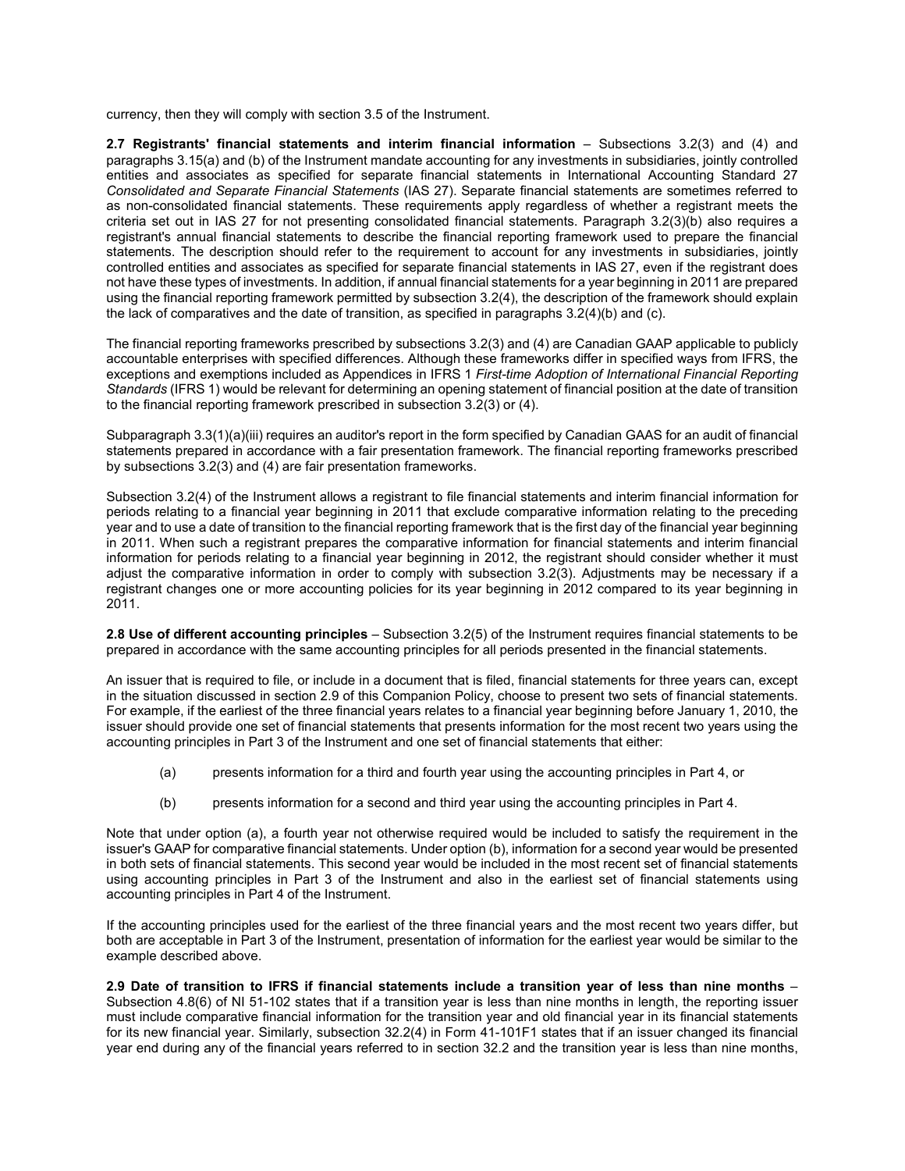currency, then they will comply with section 3.5 of the Instrument.

**2.7 Registrants' financial statements and interim financial information** – Subsections 3.2(3) and (4) and paragraphs 3.15(a) and (b) of the Instrument mandate accounting for any investments in subsidiaries, jointly controlled entities and associates as specified for separate financial statements in International Accounting Standard 27 *Consolidated and Separate Financial Statements* (IAS 27). Separate financial statements are sometimes referred to as non-consolidated financial statements. These requirements apply regardless of whether a registrant meets the criteria set out in IAS 27 for not presenting consolidated financial statements. Paragraph 3.2(3)(b) also requires a registrant's annual financial statements to describe the financial reporting framework used to prepare the financial statements. The description should refer to the requirement to account for any investments in subsidiaries, jointly controlled entities and associates as specified for separate financial statements in IAS 27, even if the registrant does not have these types of investments. In addition, if annual financial statements for a year beginning in 2011 are prepared using the financial reporting framework permitted by subsection 3.2(4), the description of the framework should explain the lack of comparatives and the date of transition, as specified in paragraphs 3.2(4)(b) and (c).

The financial reporting frameworks prescribed by subsections 3.2(3) and (4) are Canadian GAAP applicable to publicly accountable enterprises with specified differences. Although these frameworks differ in specified ways from IFRS, the exceptions and exemptions included as Appendices in IFRS 1 *First-time Adoption of International Financial Reporting Standards* (IFRS 1) would be relevant for determining an opening statement of financial position at the date of transition to the financial reporting framework prescribed in subsection 3.2(3) or (4).

Subparagraph 3.3(1)(a)(iii) requires an auditor's report in the form specified by Canadian GAAS for an audit of financial statements prepared in accordance with a fair presentation framework. The financial reporting frameworks prescribed by subsections 3.2(3) and (4) are fair presentation frameworks.

Subsection 3.2(4) of the Instrument allows a registrant to file financial statements and interim financial information for periods relating to a financial year beginning in 2011 that exclude comparative information relating to the preceding year and to use a date of transition to the financial reporting framework that is the first day of the financial year beginning in 2011. When such a registrant prepares the comparative information for financial statements and interim financial information for periods relating to a financial year beginning in 2012, the registrant should consider whether it must adjust the comparative information in order to comply with subsection 3.2(3). Adjustments may be necessary if a registrant changes one or more accounting policies for its year beginning in 2012 compared to its year beginning in 2011.

**2.8 Use of different accounting principles** – Subsection 3.2(5) of the Instrument requires financial statements to be prepared in accordance with the same accounting principles for all periods presented in the financial statements.

An issuer that is required to file, or include in a document that is filed, financial statements for three years can, except in the situation discussed in section 2.9 of this Companion Policy, choose to present two sets of financial statements. For example, if the earliest of the three financial years relates to a financial year beginning before January 1, 2010, the issuer should provide one set of financial statements that presents information for the most recent two years using the accounting principles in Part 3 of the Instrument and one set of financial statements that either:

- (a) presents information for a third and fourth year using the accounting principles in Part 4, or
- (b) presents information for a second and third year using the accounting principles in Part 4.

Note that under option (a), a fourth year not otherwise required would be included to satisfy the requirement in the issuer's GAAP for comparative financial statements. Under option (b), information for a second year would be presented in both sets of financial statements. This second year would be included in the most recent set of financial statements using accounting principles in Part 3 of the Instrument and also in the earliest set of financial statements using accounting principles in Part 4 of the Instrument.

If the accounting principles used for the earliest of the three financial years and the most recent two years differ, but both are acceptable in Part 3 of the Instrument, presentation of information for the earliest year would be similar to the example described above.

**2.9 Date of transition to IFRS if financial statements include a transition year of less than nine months** – Subsection 4.8(6) of NI 51-102 states that if a transition year is less than nine months in length, the reporting issuer must include comparative financial information for the transition year and old financial year in its financial statements for its new financial year. Similarly, subsection 32.2(4) in Form 41-101F1 states that if an issuer changed its financial year end during any of the financial years referred to in section 32.2 and the transition year is less than nine months,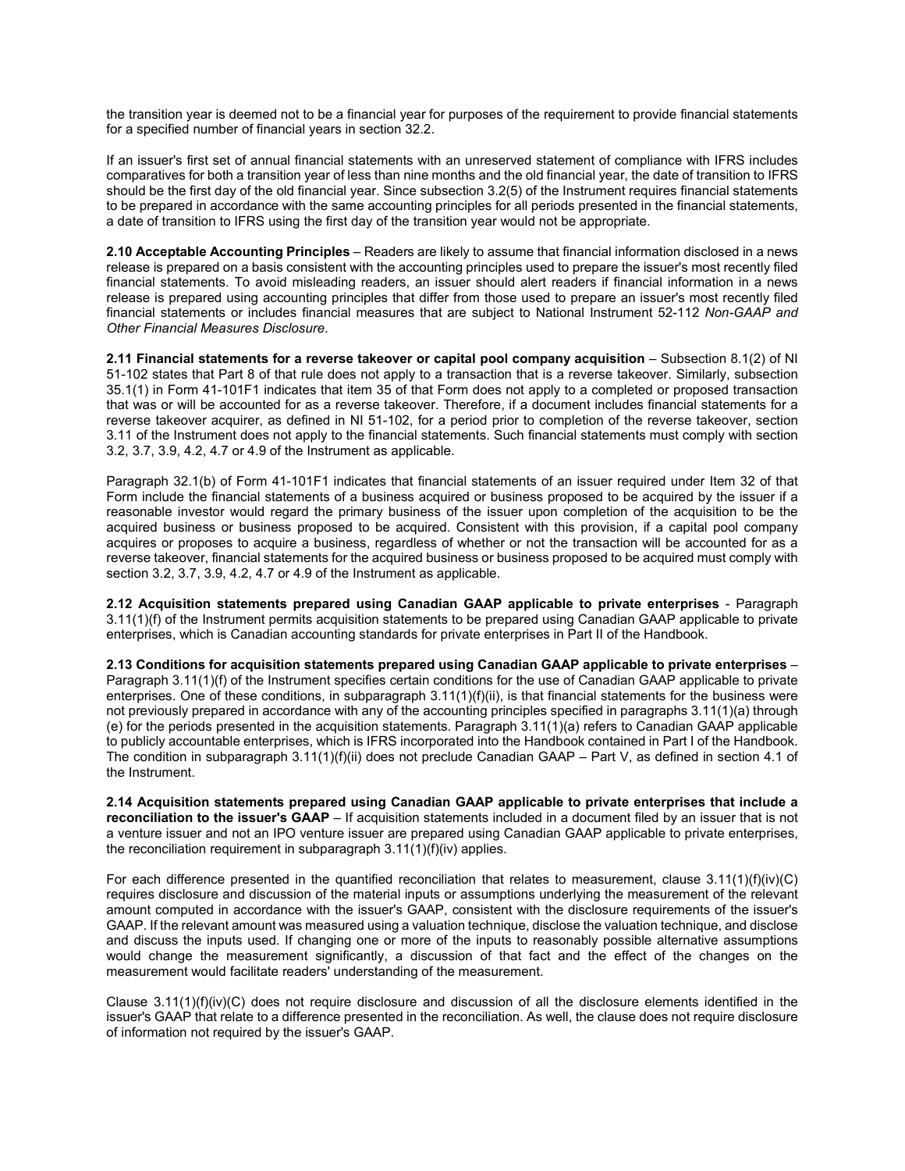the transition year is deemed not to be a financial year for purposes of the requirement to provide financial statements for a specified number of financial years in section 32.2.

If an issuer's first set of annual financial statements with an unreserved statement of compliance with IFRS includes comparatives for both a transition year of less than nine months and the old financial year, the date of transition to IFRS should be the first day of the old financial year. Since subsection 3.2(5) of the Instrument requires financial statements to be prepared in accordance with the same accounting principles for all periods presented in the financial statements, a date of transition to IFRS using the first day of the transition year would not be appropriate.

**2.10 Acceptable Accounting Principles** – Readers are likely to assume that financial information disclosed in a news release is prepared on a basis consistent with the accounting principles used to prepare the issuer's most recently filed financial statements. To avoid misleading readers, an issuer should alert readers if financial information in a news release is prepared using accounting principles that differ from those used to prepare an issuer's most recently filed financial statements or includes financial measures that are subject to National Instrument 52-112 *Non-GAAP and Other Financial Measures Disclosure*.

**2.11 Financial statements for a reverse takeover or capital pool company acquisition** – Subsection 8.1(2) of NI 51-102 states that Part 8 of that rule does not apply to a transaction that is a reverse takeover. Similarly, subsection 35.1(1) in Form 41-101F1 indicates that item 35 of that Form does not apply to a completed or proposed transaction that was or will be accounted for as a reverse takeover. Therefore, if a document includes financial statements for a reverse takeover acquirer, as defined in NI 51-102, for a period prior to completion of the reverse takeover, section 3.11 of the Instrument does not apply to the financial statements. Such financial statements must comply with section 3.2, 3.7, 3.9, 4.2, 4.7 or 4.9 of the Instrument as applicable.

Paragraph 32.1(b) of Form 41-101F1 indicates that financial statements of an issuer required under Item 32 of that Form include the financial statements of a business acquired or business proposed to be acquired by the issuer if a reasonable investor would regard the primary business of the issuer upon completion of the acquisition to be the acquired business or business proposed to be acquired. Consistent with this provision, if a capital pool company acquires or proposes to acquire a business, regardless of whether or not the transaction will be accounted for as a reverse takeover, financial statements for the acquired business or business proposed to be acquired must comply with section 3.2, 3.7, 3.9, 4.2, 4.7 or 4.9 of the Instrument as applicable.

**2.12 Acquisition statements prepared using Canadian GAAP applicable to private enterprises** - Paragraph 3.11(1)(f) of the Instrument permits acquisition statements to be prepared using Canadian GAAP applicable to private enterprises, which is Canadian accounting standards for private enterprises in Part II of the Handbook.

**2.13 Conditions for acquisition statements prepared using Canadian GAAP applicable to private enterprises** – Paragraph 3.11(1)(f) of the Instrument specifies certain conditions for the use of Canadian GAAP applicable to private enterprises. One of these conditions, in subparagraph  $3.11(1)(f)(ii)$ , is that financial statements for the business were not previously prepared in accordance with any of the accounting principles specified in paragraphs 3.11(1)(a) through (e) for the periods presented in the acquisition statements. Paragraph 3.11(1)(a) refers to Canadian GAAP applicable to publicly accountable enterprises, which is IFRS incorporated into the Handbook contained in Part I of the Handbook. The condition in subparagraph 3.11(1)(f)(ii) does not preclude Canadian GAAP – Part V, as defined in section 4.1 of the Instrument.

**2.14 Acquisition statements prepared using Canadian GAAP applicable to private enterprises that include a reconciliation to the issuer's GAAP** – If acquisition statements included in a document filed by an issuer that is not a venture issuer and not an IPO venture issuer are prepared using Canadian GAAP applicable to private enterprises, the reconciliation requirement in subparagraph 3.11(1)(f)(iv) applies.

For each difference presented in the quantified reconciliation that relates to measurement, clause  $3.11(1)(f)(iv)(C)$ requires disclosure and discussion of the material inputs or assumptions underlying the measurement of the relevant amount computed in accordance with the issuer's GAAP, consistent with the disclosure requirements of the issuer's GAAP. If the relevant amount was measured using a valuation technique, disclose the valuation technique, and disclose and discuss the inputs used. If changing one or more of the inputs to reasonably possible alternative assumptions would change the measurement significantly, a discussion of that fact and the effect of the changes on the measurement would facilitate readers' understanding of the measurement.

Clause 3.11(1)(f)(iv)(C) does not require disclosure and discussion of all the disclosure elements identified in the issuer's GAAP that relate to a difference presented in the reconciliation. As well, the clause does not require disclosure of information not required by the issuer's GAAP.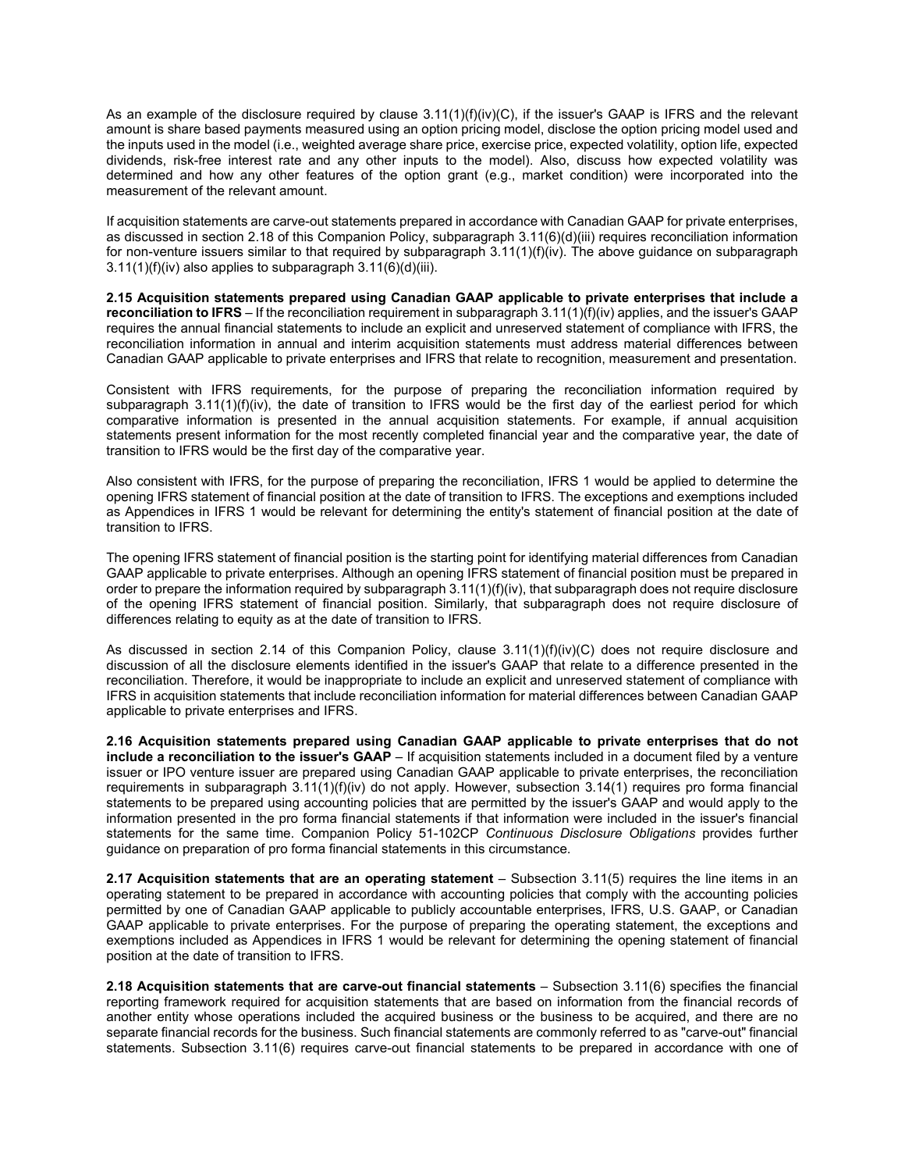As an example of the disclosure required by clause  $3.11(1)(f)(iv)(C)$ , if the issuer's GAAP is IFRS and the relevant amount is share based payments measured using an option pricing model, disclose the option pricing model used and the inputs used in the model (i.e., weighted average share price, exercise price, expected volatility, option life, expected dividends, risk-free interest rate and any other inputs to the model). Also, discuss how expected volatility was determined and how any other features of the option grant (e.g., market condition) were incorporated into the measurement of the relevant amount.

If acquisition statements are carve-out statements prepared in accordance with Canadian GAAP for private enterprises, as discussed in section 2.18 of this Companion Policy, subparagraph 3.11(6)(d)(iii) requires reconciliation information for non-venture issuers similar to that required by subparagraph 3.11(1)(f)(iv). The above guidance on subparagraph  $3.11(1)(f)(iv)$  also applies to subparagraph  $3.11(6)(d)(iii)$ .

**2.15 Acquisition statements prepared using Canadian GAAP applicable to private enterprises that include a reconciliation to IFRS** – If the reconciliation requirement in subparagraph 3.11(1)(f)(iv) applies, and the issuer's GAAP requires the annual financial statements to include an explicit and unreserved statement of compliance with IFRS, the reconciliation information in annual and interim acquisition statements must address material differences between Canadian GAAP applicable to private enterprises and IFRS that relate to recognition, measurement and presentation.

Consistent with IFRS requirements, for the purpose of preparing the reconciliation information required by subparagraph 3.11(1)(f)(iv), the date of transition to IFRS would be the first day of the earliest period for which comparative information is presented in the annual acquisition statements. For example, if annual acquisition statements present information for the most recently completed financial year and the comparative year, the date of transition to IFRS would be the first day of the comparative year.

Also consistent with IFRS, for the purpose of preparing the reconciliation, IFRS 1 would be applied to determine the opening IFRS statement of financial position at the date of transition to IFRS. The exceptions and exemptions included as Appendices in IFRS 1 would be relevant for determining the entity's statement of financial position at the date of transition to IFRS.

The opening IFRS statement of financial position is the starting point for identifying material differences from Canadian GAAP applicable to private enterprises. Although an opening IFRS statement of financial position must be prepared in order to prepare the information required by subparagraph 3.11(1)(f)(iv), that subparagraph does not require disclosure of the opening IFRS statement of financial position. Similarly, that subparagraph does not require disclosure of differences relating to equity as at the date of transition to IFRS.

As discussed in section 2.14 of this Companion Policy, clause 3.11(1)(f)(iv)(C) does not require disclosure and discussion of all the disclosure elements identified in the issuer's GAAP that relate to a difference presented in the reconciliation. Therefore, it would be inappropriate to include an explicit and unreserved statement of compliance with IFRS in acquisition statements that include reconciliation information for material differences between Canadian GAAP applicable to private enterprises and IFRS.

**2.16 Acquisition statements prepared using Canadian GAAP applicable to private enterprises that do not include a reconciliation to the issuer's GAAP** – If acquisition statements included in a document filed by a venture issuer or IPO venture issuer are prepared using Canadian GAAP applicable to private enterprises, the reconciliation requirements in subparagraph 3.11(1)(f)(iv) do not apply. However, subsection 3.14(1) requires pro forma financial statements to be prepared using accounting policies that are permitted by the issuer's GAAP and would apply to the information presented in the pro forma financial statements if that information were included in the issuer's financial statements for the same time. Companion Policy 51-102CP *Continuous Disclosure Obligations* provides further guidance on preparation of pro forma financial statements in this circumstance.

**2.17 Acquisition statements that are an operating statement** – Subsection 3.11(5) requires the line items in an operating statement to be prepared in accordance with accounting policies that comply with the accounting policies permitted by one of Canadian GAAP applicable to publicly accountable enterprises, IFRS, U.S. GAAP, or Canadian GAAP applicable to private enterprises. For the purpose of preparing the operating statement, the exceptions and exemptions included as Appendices in IFRS 1 would be relevant for determining the opening statement of financial position at the date of transition to IFRS.

**2.18 Acquisition statements that are carve-out financial statements** – Subsection 3.11(6) specifies the financial reporting framework required for acquisition statements that are based on information from the financial records of another entity whose operations included the acquired business or the business to be acquired, and there are no separate financial records for the business. Such financial statements are commonly referred to as "carve-out" financial statements. Subsection 3.11(6) requires carve-out financial statements to be prepared in accordance with one of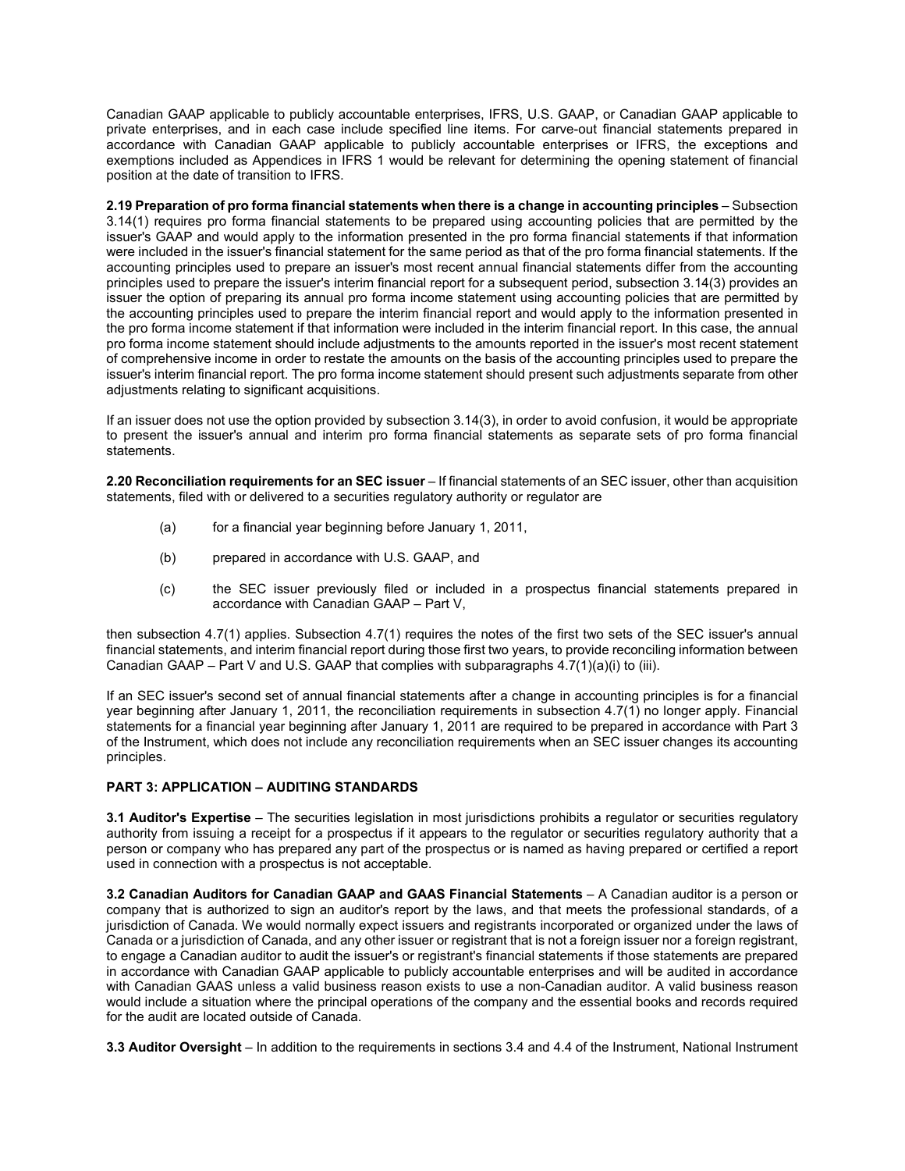Canadian GAAP applicable to publicly accountable enterprises, IFRS, U.S. GAAP, or Canadian GAAP applicable to private enterprises, and in each case include specified line items. For carve-out financial statements prepared in accordance with Canadian GAAP applicable to publicly accountable enterprises or IFRS, the exceptions and exemptions included as Appendices in IFRS 1 would be relevant for determining the opening statement of financial position at the date of transition to IFRS.

**2.19 Preparation of pro forma financial statements when there is a change in accounting principles** – Subsection 3.14(1) requires pro forma financial statements to be prepared using accounting policies that are permitted by the issuer's GAAP and would apply to the information presented in the pro forma financial statements if that information were included in the issuer's financial statement for the same period as that of the pro forma financial statements. If the accounting principles used to prepare an issuer's most recent annual financial statements differ from the accounting principles used to prepare the issuer's interim financial report for a subsequent period, subsection 3.14(3) provides an issuer the option of preparing its annual pro forma income statement using accounting policies that are permitted by the accounting principles used to prepare the interim financial report and would apply to the information presented in the pro forma income statement if that information were included in the interim financial report. In this case, the annual pro forma income statement should include adjustments to the amounts reported in the issuer's most recent statement of comprehensive income in order to restate the amounts on the basis of the accounting principles used to prepare the issuer's interim financial report. The pro forma income statement should present such adjustments separate from other adjustments relating to significant acquisitions.

If an issuer does not use the option provided by subsection 3.14(3), in order to avoid confusion, it would be appropriate to present the issuer's annual and interim pro forma financial statements as separate sets of pro forma financial statements.

**2.20 Reconciliation requirements for an SEC issuer** – If financial statements of an SEC issuer, other than acquisition statements, filed with or delivered to a securities regulatory authority or regulator are

- (a) for a financial year beginning before January 1, 2011,
- (b) prepared in accordance with U.S. GAAP, and
- (c) the SEC issuer previously filed or included in a prospectus financial statements prepared in accordance with Canadian GAAP – Part V,

then subsection 4.7(1) applies. Subsection 4.7(1) requires the notes of the first two sets of the SEC issuer's annual financial statements, and interim financial report during those first two years, to provide reconciling information between Canadian GAAP – Part V and U.S. GAAP that complies with subparagraphs  $4.7(1)(a)(i)$  to (iii).

If an SEC issuer's second set of annual financial statements after a change in accounting principles is for a financial year beginning after January 1, 2011, the reconciliation requirements in subsection 4.7(1) no longer apply. Financial statements for a financial year beginning after January 1, 2011 are required to be prepared in accordance with Part 3 of the Instrument, which does not include any reconciliation requirements when an SEC issuer changes its accounting principles.

## **PART 3: APPLICATION – AUDITING STANDARDS**

**3.1 Auditor's Expertise** – The securities legislation in most jurisdictions prohibits a regulator or securities regulatory authority from issuing a receipt for a prospectus if it appears to the regulator or securities regulatory authority that a person or company who has prepared any part of the prospectus or is named as having prepared or certified a report used in connection with a prospectus is not acceptable.

**3.2 Canadian Auditors for Canadian GAAP and GAAS Financial Statements** – A Canadian auditor is a person or company that is authorized to sign an auditor's report by the laws, and that meets the professional standards, of a jurisdiction of Canada. We would normally expect issuers and registrants incorporated or organized under the laws of Canada or a jurisdiction of Canada, and any other issuer or registrant that is not a foreign issuer nor a foreign registrant, to engage a Canadian auditor to audit the issuer's or registrant's financial statements if those statements are prepared in accordance with Canadian GAAP applicable to publicly accountable enterprises and will be audited in accordance with Canadian GAAS unless a valid business reason exists to use a non-Canadian auditor. A valid business reason would include a situation where the principal operations of the company and the essential books and records required for the audit are located outside of Canada.

**3.3 Auditor Oversight** – In addition to the requirements in sections 3.4 and 4.4 of the Instrument, National Instrument